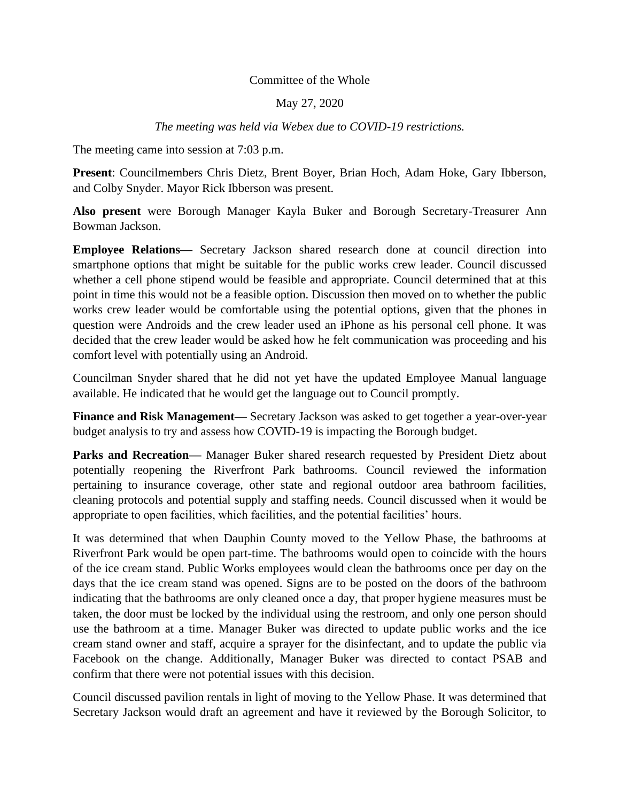## Committee of the Whole

## May 27, 2020

## *The meeting was held via Webex due to COVID-19 restrictions.*

The meeting came into session at 7:03 p.m.

**Present**: Councilmembers Chris Dietz, Brent Boyer, Brian Hoch, Adam Hoke, Gary Ibberson, and Colby Snyder. Mayor Rick Ibberson was present.

**Also present** were Borough Manager Kayla Buker and Borough Secretary-Treasurer Ann Bowman Jackson.

**Employee Relations—** Secretary Jackson shared research done at council direction into smartphone options that might be suitable for the public works crew leader. Council discussed whether a cell phone stipend would be feasible and appropriate. Council determined that at this point in time this would not be a feasible option. Discussion then moved on to whether the public works crew leader would be comfortable using the potential options, given that the phones in question were Androids and the crew leader used an iPhone as his personal cell phone. It was decided that the crew leader would be asked how he felt communication was proceeding and his comfort level with potentially using an Android.

Councilman Snyder shared that he did not yet have the updated Employee Manual language available. He indicated that he would get the language out to Council promptly.

**Finance and Risk Management—** Secretary Jackson was asked to get together a year-over-year budget analysis to try and assess how COVID-19 is impacting the Borough budget.

**Parks and Recreation—** Manager Buker shared research requested by President Dietz about potentially reopening the Riverfront Park bathrooms. Council reviewed the information pertaining to insurance coverage, other state and regional outdoor area bathroom facilities, cleaning protocols and potential supply and staffing needs. Council discussed when it would be appropriate to open facilities, which facilities, and the potential facilities' hours.

It was determined that when Dauphin County moved to the Yellow Phase, the bathrooms at Riverfront Park would be open part-time. The bathrooms would open to coincide with the hours of the ice cream stand. Public Works employees would clean the bathrooms once per day on the days that the ice cream stand was opened. Signs are to be posted on the doors of the bathroom indicating that the bathrooms are only cleaned once a day, that proper hygiene measures must be taken, the door must be locked by the individual using the restroom, and only one person should use the bathroom at a time. Manager Buker was directed to update public works and the ice cream stand owner and staff, acquire a sprayer for the disinfectant, and to update the public via Facebook on the change. Additionally, Manager Buker was directed to contact PSAB and confirm that there were not potential issues with this decision.

Council discussed pavilion rentals in light of moving to the Yellow Phase. It was determined that Secretary Jackson would draft an agreement and have it reviewed by the Borough Solicitor, to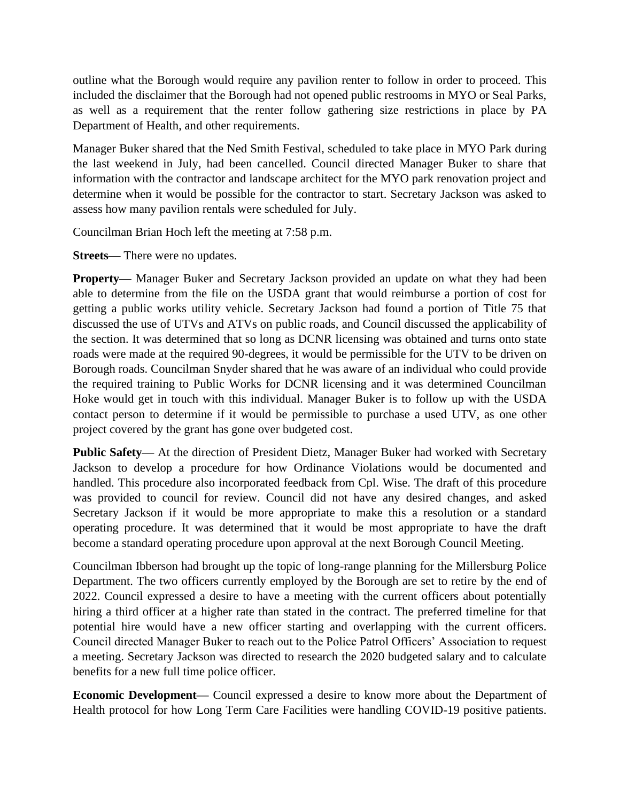outline what the Borough would require any pavilion renter to follow in order to proceed. This included the disclaimer that the Borough had not opened public restrooms in MYO or Seal Parks, as well as a requirement that the renter follow gathering size restrictions in place by PA Department of Health, and other requirements.

Manager Buker shared that the Ned Smith Festival, scheduled to take place in MYO Park during the last weekend in July, had been cancelled. Council directed Manager Buker to share that information with the contractor and landscape architect for the MYO park renovation project and determine when it would be possible for the contractor to start. Secretary Jackson was asked to assess how many pavilion rentals were scheduled for July.

Councilman Brian Hoch left the meeting at 7:58 p.m.

**Streets—** There were no updates.

**Property—** Manager Buker and Secretary Jackson provided an update on what they had been able to determine from the file on the USDA grant that would reimburse a portion of cost for getting a public works utility vehicle. Secretary Jackson had found a portion of Title 75 that discussed the use of UTVs and ATVs on public roads, and Council discussed the applicability of the section. It was determined that so long as DCNR licensing was obtained and turns onto state roads were made at the required 90-degrees, it would be permissible for the UTV to be driven on Borough roads. Councilman Snyder shared that he was aware of an individual who could provide the required training to Public Works for DCNR licensing and it was determined Councilman Hoke would get in touch with this individual. Manager Buker is to follow up with the USDA contact person to determine if it would be permissible to purchase a used UTV, as one other project covered by the grant has gone over budgeted cost.

**Public Safety—** At the direction of President Dietz, Manager Buker had worked with Secretary Jackson to develop a procedure for how Ordinance Violations would be documented and handled. This procedure also incorporated feedback from Cpl. Wise. The draft of this procedure was provided to council for review. Council did not have any desired changes, and asked Secretary Jackson if it would be more appropriate to make this a resolution or a standard operating procedure. It was determined that it would be most appropriate to have the draft become a standard operating procedure upon approval at the next Borough Council Meeting.

Councilman Ibberson had brought up the topic of long-range planning for the Millersburg Police Department. The two officers currently employed by the Borough are set to retire by the end of 2022. Council expressed a desire to have a meeting with the current officers about potentially hiring a third officer at a higher rate than stated in the contract. The preferred timeline for that potential hire would have a new officer starting and overlapping with the current officers. Council directed Manager Buker to reach out to the Police Patrol Officers' Association to request a meeting. Secretary Jackson was directed to research the 2020 budgeted salary and to calculate benefits for a new full time police officer.

**Economic Development—** Council expressed a desire to know more about the Department of Health protocol for how Long Term Care Facilities were handling COVID-19 positive patients.